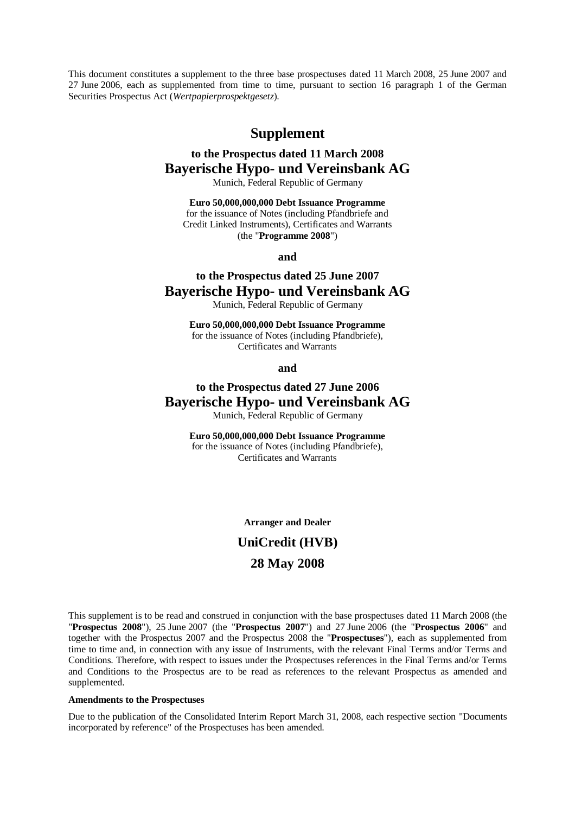This document constitutes a supplement to the three base prospectuses dated 11 March 2008, 25 June 2007 and 27 June 2006, each as supplemented from time to time, pursuant to section 16 paragraph 1 of the German Securities Prospectus Act (*Wertpapierprospektgesetz*).

### **Supplement**

## **to the Prospectus dated 11 March 2008 Bayerische Hypo- und Vereinsbank AG**

Munich, Federal Republic of Germany

**Euro 50,000,000,000 Debt Issuance Programme**  for the issuance of Notes (including Pfandbriefe and Credit Linked Instruments), Certificates and Warrants (the "**Programme 2008**")

#### **and**

## **to the Prospectus dated 25 June 2007 Bayerische Hypo- und Vereinsbank AG**

Munich, Federal Republic of Germany

**Euro 50,000,000,000 Debt Issuance Programme**  for the issuance of Notes (including Pfandbriefe), Certificates and Warrants

**and** 

## **to the Prospectus dated 27 June 2006 Bayerische Hypo- und Vereinsbank AG**

Munich, Federal Republic of Germany

**Euro 50,000,000,000 Debt Issuance Programme**  for the issuance of Notes (including Pfandbriefe), Certificates and Warrants

**Arranger and Dealer** 

# **UniCredit (HVB) 28 May 2008**

This supplement is to be read and construed in conjunction with the base prospectuses dated 11 March 2008 (the "**Prospectus 2008**"), 25 June 2007 (the "**Prospectus 2007**") and 27 June 2006 (the "**Prospectus 2006**" and together with the Prospectus 2007 and the Prospectus 2008 the "**Prospectuses**"), each as supplemented from time to time and, in connection with any issue of Instruments, with the relevant Final Terms and/or Terms and Conditions. Therefore, with respect to issues under the Prospectuses references in the Final Terms and/or Terms and Conditions to the Prospectus are to be read as references to the relevant Prospectus as amended and supplemented.

#### **Amendments to the Prospectuses**

Due to the publication of the Consolidated Interim Report March 31, 2008, each respective section "Documents incorporated by reference" of the Prospectuses has been amended.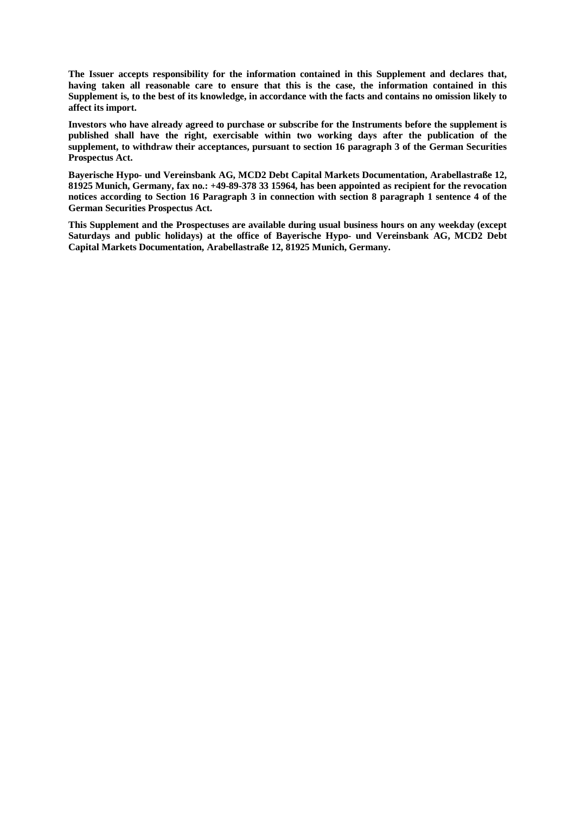**The Issuer accepts responsibility for the information contained in this Supplement and declares that, having taken all reasonable care to ensure that this is the case, the information contained in this**  Supplement is, to the best of its knowledge, in accordance with the facts and contains no omission likely to **affect its import.** 

**Investors who have already agreed to purchase or subscribe for the Instruments before the supplement is published shall have the right, exercisable within two working days after the publication of the supplement, to withdraw their acceptances, pursuant to section 16 paragraph 3 of the German Securities Prospectus Act.** 

**Bayerische Hypo- und Vereinsbank AG, MCD2 Debt Capital Markets Documentation, Arabellastraße 12, 81925 Munich, Germany, fax no.: +49-89-378 33 15964, has been appointed as recipient for the revocation**  notices according to Section 16 Paragraph 3 in connection with section 8 paragraph 1 sentence 4 of the **German Securities Prospectus Act.** 

**This Supplement and the Prospectuses are available during usual business hours on any weekday (except Saturdays and public holidays) at the office of Bayerische Hypo- und Vereinsbank AG, MCD2 Debt Capital Markets Documentation, Arabellastraße 12, 81925 Munich, Germany.**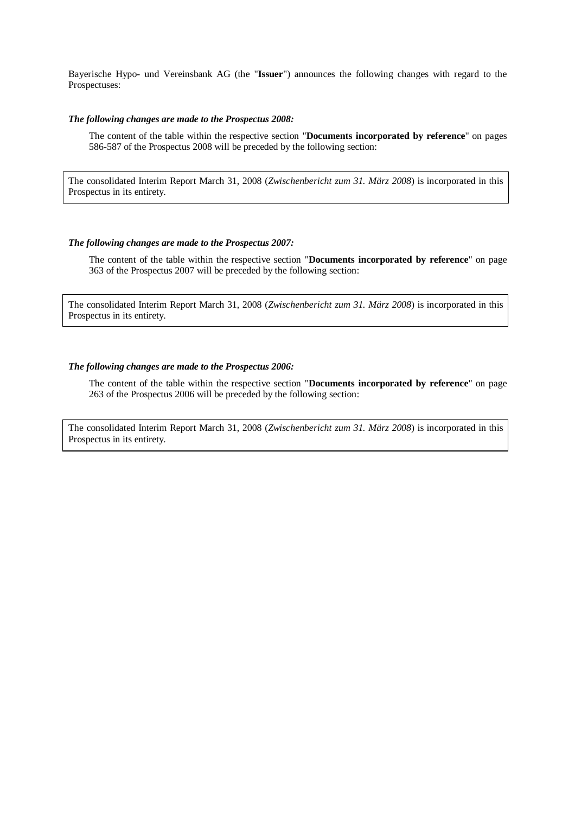Bayerische Hypo- und Vereinsbank AG (the "**Issuer**") announces the following changes with regard to the Prospectuses:

#### *The following changes are made to the Prospectus 2008:*

The content of the table within the respective section "**Documents incorporated by reference**" on pages 586-587 of the Prospectus 2008 will be preceded by the following section:

The consolidated Interim Report March 31, 2008 (*Zwischenbericht zum 31. März 2008*) is incorporated in this Prospectus in its entirety.

#### *The following changes are made to the Prospectus 2007:*

The content of the table within the respective section "**Documents incorporated by reference**" on page 363 of the Prospectus 2007 will be preceded by the following section:

The consolidated Interim Report March 31, 2008 (*Zwischenbericht zum 31. März 2008*) is incorporated in this Prospectus in its entirety.

#### *The following changes are made to the Prospectus 2006:*

The content of the table within the respective section "**Documents incorporated by reference**" on page 263 of the Prospectus 2006 will be preceded by the following section:

The consolidated Interim Report March 31, 2008 (*Zwischenbericht zum 31. März 2008*) is incorporated in this Prospectus in its entirety.